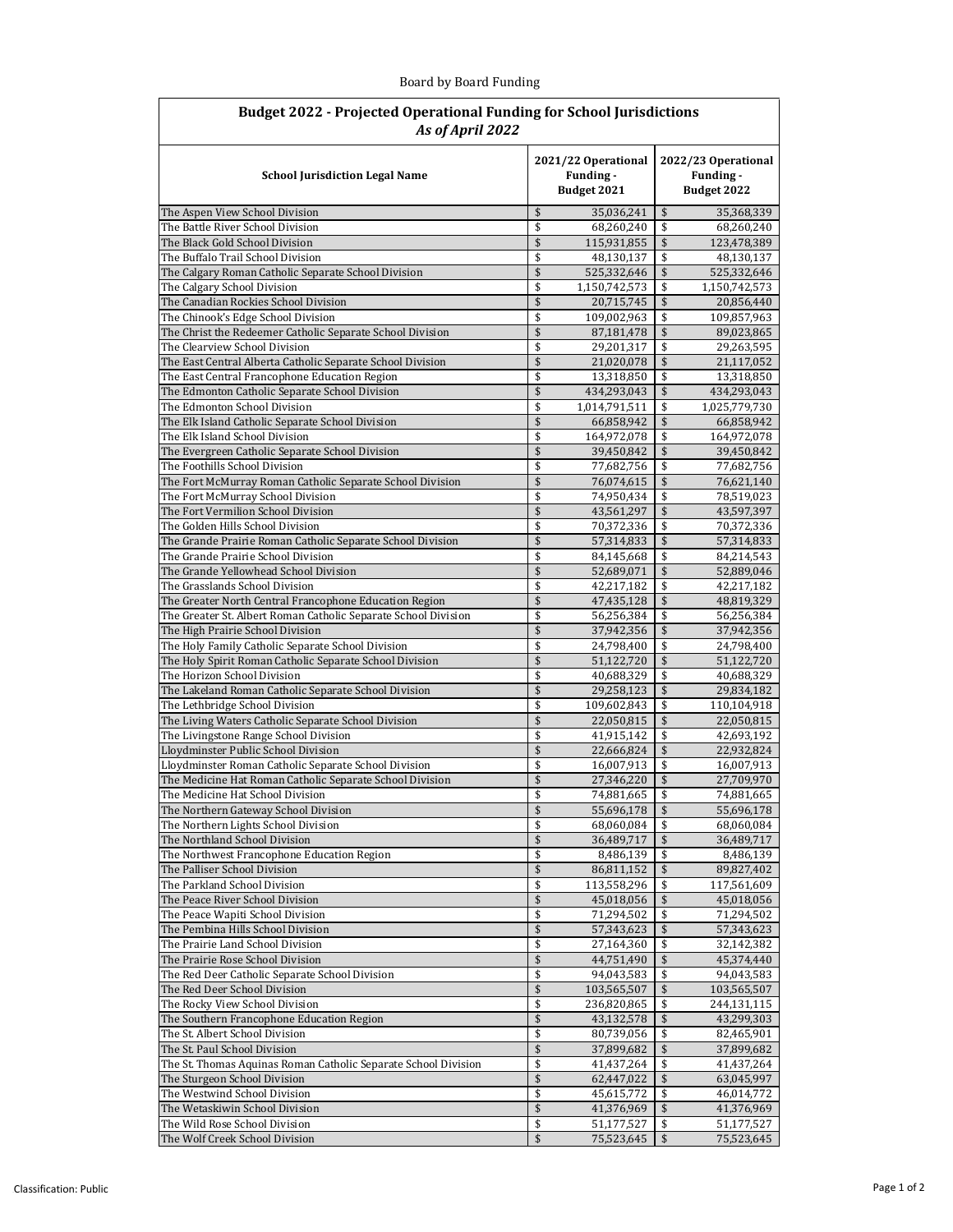| Board by Board Funding |  |
|------------------------|--|
|------------------------|--|

| <b>Budget 2022 - Projected Operational Funding for School Jurisdictions</b><br>As of April 2022 |          |                                                 |          |                                                 |  |
|-------------------------------------------------------------------------------------------------|----------|-------------------------------------------------|----------|-------------------------------------------------|--|
| <b>School Jurisdiction Legal Name</b>                                                           |          | 2021/22 Operational<br>Funding -<br>Budget 2021 |          | 2022/23 Operational<br>Funding -<br>Budget 2022 |  |
| The Aspen View School Division                                                                  | \$       | 35,036,241                                      | \$       | 35,368,339                                      |  |
| The Battle River School Division                                                                | \$       | 68,260,240                                      | \$       | 68,260,240                                      |  |
| The Black Gold School Division                                                                  | \$       | 115,931,855                                     | \$       | 123,478,389                                     |  |
| The Buffalo Trail School Division                                                               | \$       | 48,130,137                                      | \$       | 48,130,137                                      |  |
| The Calgary Roman Catholic Separate School Division                                             | \$       | 525,332,646                                     | \$       | 525,332,646                                     |  |
| The Calgary School Division                                                                     | \$<br>\$ | 1,150,742,573<br>20,715,745                     | \$<br>\$ | 1,150,742,573                                   |  |
| The Canadian Rockies School Division<br>The Chinook's Edge School Division                      | \$       | 109,002,963                                     | \$       | 20,856,440<br>109,857,963                       |  |
| The Christ the Redeemer Catholic Separate School Division                                       | \$       | 87,181,478                                      | \$       | 89,023,865                                      |  |
| The Clearview School Division                                                                   | \$       | 29,201,317                                      | \$       | 29,263,595                                      |  |
| The East Central Alberta Catholic Separate School Division                                      | \$       | 21,020,078                                      | \$       | 21,117,052                                      |  |
| The East Central Francophone Education Region                                                   | \$       | 13,318,850                                      | \$       | 13,318,850                                      |  |
| The Edmonton Catholic Separate School Division                                                  | \$       | 434,293,043                                     | \$       | 434,293,043                                     |  |
| The Edmonton School Division                                                                    | \$       | 1,014,791,511                                   | \$       | 1,025,779,730                                   |  |
| The Elk Island Catholic Separate School Division                                                | \$       | 66,858,942                                      | \$       | 66,858,942                                      |  |
| The Elk Island School Division                                                                  | \$       | 164,972,078                                     | \$       | 164,972,078                                     |  |
| The Evergreen Catholic Separate School Division                                                 | \$       | 39,450,842                                      | \$       | 39,450,842                                      |  |
| The Foothills School Division                                                                   | \$       | 77,682,756                                      | \$       | 77,682,756                                      |  |
| The Fort McMurray Roman Catholic Separate School Division                                       | \$       | 76,074,615                                      | \$       | 76,621,140                                      |  |
| The Fort McMurray School Division<br>The Fort Vermilion School Division                         | \$<br>\$ | 74,950,434                                      | \$<br>\$ | 78,519,023<br>43,597,397                        |  |
| The Golden Hills School Division                                                                | \$       | 43,561,297<br>70,372,336                        | \$       | 70,372,336                                      |  |
| The Grande Prairie Roman Catholic Separate School Division                                      | \$       | 57,314,833                                      | \$       | 57,314,833                                      |  |
| The Grande Prairie School Division                                                              | \$       | 84,145,668                                      | \$       | 84,214,543                                      |  |
| The Grande Yellowhead School Division                                                           | \$       | 52,689,071                                      | \$       | 52,889,046                                      |  |
| The Grasslands School Division                                                                  | \$       | 42,217,182                                      | \$       | 42,217,182                                      |  |
| The Greater North Central Francophone Education Region                                          | \$       | 47,435,128                                      | \$       | 48,819,329                                      |  |
| The Greater St. Albert Roman Catholic Separate School Division                                  | \$       | 56,256,384                                      | \$       | 56,256,384                                      |  |
| The High Prairie School Division                                                                | \$       | 37,942,356                                      | \$       | 37,942,356                                      |  |
| The Holy Family Catholic Separate School Division                                               | \$       | 24,798,400                                      | \$       | 24,798,400                                      |  |
| The Holy Spirit Roman Catholic Separate School Division                                         | \$       | 51,122,720                                      | \$       | 51,122,720                                      |  |
| The Horizon School Division                                                                     | \$       | 40,688,329                                      | \$       | 40,688,329                                      |  |
| The Lakeland Roman Catholic Separate School Division                                            | \$       | 29,258,123                                      | \$       | 29,834,182                                      |  |
| The Lethbridge School Division<br>The Living Waters Catholic Separate School Division           | \$<br>\$ | 109,602,843                                     | \$       | 110,104,918                                     |  |
| The Livingstone Range School Division                                                           | \$       | 22,050,815<br>41,915,142                        | \$<br>\$ | 22,050,815<br>42,693,192                        |  |
| Lloydminster Public School Division                                                             | \$       | 22,666,824                                      | \$       | 22,932,824                                      |  |
| Lloydminster Roman Catholic Separate School Division                                            | \$       | 16,007,913                                      | \$       | 16,007,913                                      |  |
| The Medicine Hat Roman Catholic Separate School Division                                        | \$       | 27,346,220                                      | \$       | 27,709,970                                      |  |
| The Medicine Hat School Division                                                                | \$       | 74,881,665                                      | \$       | 74,881,665                                      |  |
| The Northern Gateway School Division                                                            | \$       | 55,696,178                                      | \$       | 55,696,178                                      |  |
| The Northern Lights School Division                                                             | \$       | 68,060,084                                      | \$       | 68,060,084                                      |  |
| The Northland School Division                                                                   | \$       | 36,489,717                                      | \$       | 36,489,717                                      |  |
| The Northwest Francophone Education Region                                                      | \$       | 8,486,139                                       | \$       | 8,486,139                                       |  |
| The Palliser School Division                                                                    | \$       | 86,811,152                                      | \$       | 89,827,402                                      |  |
| The Parkland School Division                                                                    | \$       | 113,558,296                                     | \$       | 117,561,609                                     |  |
| The Peace River School Division                                                                 | \$       | 45,018,056                                      | \$       | 45,018,056                                      |  |
| The Peace Wapiti School Division                                                                | \$<br>\$ | 71,294,502                                      | \$       | 71,294,502                                      |  |
| The Pembina Hills School Division<br>The Prairie Land School Division                           | \$       | 57,343,623<br>27,164,360                        | \$<br>\$ | 57,343,623<br>32,142,382                        |  |
| The Prairie Rose School Division                                                                | \$       | 44,751,490                                      | \$       | 45,374,440                                      |  |
| The Red Deer Catholic Separate School Division                                                  | \$       | 94,043,583                                      | \$       | 94,043,583                                      |  |
| The Red Deer School Division                                                                    | \$       | 103,565,507                                     | \$       | 103,565,507                                     |  |
| The Rocky View School Division                                                                  | \$       | 236,820,865                                     | \$       | 244,131,115                                     |  |
| The Southern Francophone Education Region                                                       | \$       | 43,132,578                                      | \$       | 43,299,303                                      |  |
| The St. Albert School Division                                                                  | \$       | 80,739,056                                      | \$       | 82,465,901                                      |  |
| The St. Paul School Division                                                                    | \$       | 37,899,682                                      | \$       | 37,899,682                                      |  |
| The St. Thomas Aquinas Roman Catholic Separate School Division                                  | \$       | 41,437,264                                      | \$       | 41,437,264                                      |  |
| The Sturgeon School Division                                                                    | \$       | 62,447,022                                      | \$       | 63,045,997                                      |  |
| The Westwind School Division                                                                    | \$       | 45,615,772                                      | \$       | 46,014,772                                      |  |
| The Wetaskiwin School Division                                                                  | \$       | 41,376,969                                      | \$       | 41,376,969                                      |  |
| The Wild Rose School Division                                                                   | \$<br>\$ | 51,177,527                                      | \$<br>\$ | 51,177,527                                      |  |
| The Wolf Creek School Division                                                                  |          | 75,523,645                                      |          | 75,523,645                                      |  |